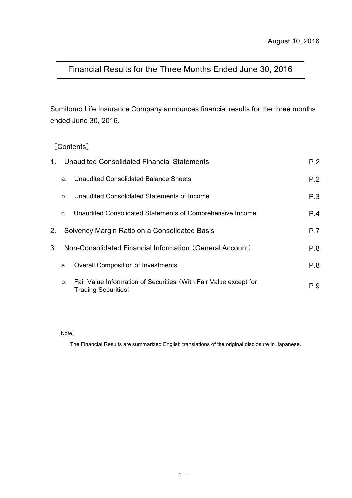# Financial Results for the Three Months Ended June 30, 2016

Sumitomo Life Insurance Company announces financial results for the three months ended June 30, 2016.

# [Contents]

| $1_{-}$ |         | Unaudited Consolidated Financial Statements                                                     | P.2 |
|---------|---------|-------------------------------------------------------------------------------------------------|-----|
|         | a.      | Unaudited Consolidated Balance Sheets                                                           | P.2 |
|         | $b_{-}$ | Unaudited Consolidated Statements of Income                                                     | P.3 |
|         | C.      | Unaudited Consolidated Statements of Comprehensive Income                                       | P.4 |
| 2.      |         | Solvency Margin Ratio on a Consolidated Basis                                                   | P.7 |
| 3.      |         | Non-Consolidated Financial Information (General Account)                                        | P.8 |
|         | a.      | <b>Overall Composition of Investments</b>                                                       | P.8 |
|         | $b_{-}$ | Fair Value Information of Securities (With Fair Value except for<br><b>Trading Securities</b> ) | P.9 |

[Note]

The Financial Results are summarized English translations of the original disclosure in Japanese.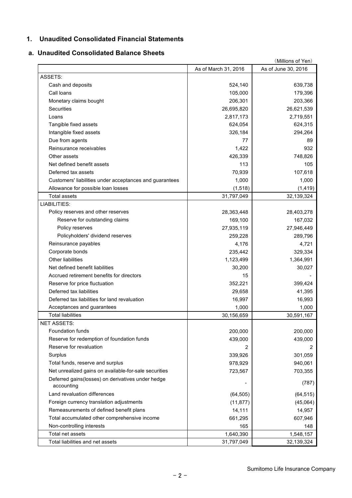## **1. Unaudited Consolidated Financial Statements**

#### **a. Unaudited Consolidated Balance Sheets**

| (Millions of Yen)                                               |                      |                     |  |  |  |
|-----------------------------------------------------------------|----------------------|---------------------|--|--|--|
|                                                                 | As of March 31, 2016 | As of June 30, 2016 |  |  |  |
| ASSETS:                                                         |                      |                     |  |  |  |
| Cash and deposits                                               | 524,140              | 639,738             |  |  |  |
| Call loans                                                      | 105,000              | 179,396             |  |  |  |
| Monetary claims bought                                          | 206,301              | 203,366             |  |  |  |
| Securities                                                      | 26,695,820           | 26,621,539          |  |  |  |
| Loans                                                           | 2,817,173            | 2,719,551           |  |  |  |
| Tangible fixed assets                                           | 624,054              | 624,315             |  |  |  |
| Intangible fixed assets                                         | 326,184              | 294,264             |  |  |  |
| Due from agents                                                 | 77                   | 89                  |  |  |  |
| Reinsurance receivables                                         | 1,422                | 932                 |  |  |  |
| Other assets                                                    | 426,339              | 748,826             |  |  |  |
| Net defined benefit assets                                      | 113                  | 105                 |  |  |  |
| Deferred tax assets                                             | 70,939               | 107,618             |  |  |  |
| Customers' liabilities under acceptances and guarantees         | 1,000                | 1,000               |  |  |  |
| Allowance for possible loan losses                              | (1, 518)             | (1, 419)            |  |  |  |
| <b>Total assets</b>                                             | 31,797,049           | 32,139,324          |  |  |  |
| LIABILITIES:                                                    |                      |                     |  |  |  |
| Policy reserves and other reserves                              | 28,363,448           | 28,403,278          |  |  |  |
| Reserve for outstanding claims                                  | 169,100              | 167,032             |  |  |  |
| Policy reserves                                                 | 27,935,119           | 27,946,449          |  |  |  |
| Policyholders' dividend reserves                                | 259,228              | 289,796             |  |  |  |
| Reinsurance payables                                            | 4,176                | 4,721               |  |  |  |
| Corporate bonds                                                 | 235,442              | 329,334             |  |  |  |
| <b>Other liabilities</b>                                        | 1,123,499            | 1,364,991           |  |  |  |
| Net defined benefit liabilities                                 | 30,200               | 30,027              |  |  |  |
| Accrued retirement benefits for directors                       | 15                   |                     |  |  |  |
| Reserve for price fluctuation                                   | 352,221              | 399,424             |  |  |  |
| Deferred tax liabilities                                        | 29,658               | 41,395              |  |  |  |
| Deferred tax liabilities for land revaluation                   | 16,997               | 16,993              |  |  |  |
| Acceptances and guarantees                                      | 1,000                | 1,000               |  |  |  |
| <b>Total liabilities</b>                                        | 30,156,659           | 30,591,167          |  |  |  |
| <b>NFT ASSETS:</b>                                              |                      |                     |  |  |  |
| <b>Foundation funds</b>                                         | 200,000              | 200,000             |  |  |  |
| Reserve for redemption of foundation funds                      | 439,000              | 439,000             |  |  |  |
| Reserve for revaluation                                         | 2                    | 2                   |  |  |  |
| Surplus                                                         | 339,926              | 301,059             |  |  |  |
| Total funds, reserve and surplus                                | 978,929              | 940,061             |  |  |  |
| Net unrealized gains on available-for-sale securities           | 723,567              | 703,355             |  |  |  |
| Deferred gains(losses) on derivatives under hedge<br>accounting |                      | (787)               |  |  |  |
| Land revaluation differences                                    | (64, 505)            | (64, 515)           |  |  |  |
| Foreign currency translation adjustments                        | (11, 877)            | (45,064)            |  |  |  |
| Remeasurements of defined benefit plans                         | 14,111               | 14,957              |  |  |  |
| Total accumulated other comprehensive income                    | 661,295              | 607,946             |  |  |  |
| Non-controlling interests                                       | 165                  | 148                 |  |  |  |
| Total net assets                                                | 1,640,390            | 1,548,157           |  |  |  |
| Total liabilities and net assets                                | 31,797,049           | 32,139,324          |  |  |  |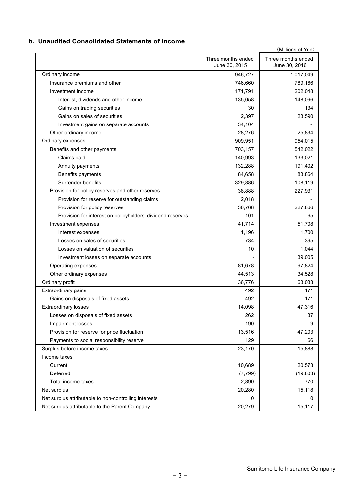## **b. Unaudited Consolidated Statements of Income**

| (Millions of Yen)                                          |                                     |                                     |  |  |  |
|------------------------------------------------------------|-------------------------------------|-------------------------------------|--|--|--|
|                                                            | Three months ended<br>June 30, 2015 | Three months ended<br>June 30, 2016 |  |  |  |
| Ordinary income                                            | 946,727                             | 1,017,049                           |  |  |  |
| Insurance premiums and other                               | 746,660                             | 789,166                             |  |  |  |
| Investment income                                          | 171,791                             | 202,048                             |  |  |  |
| Interest, dividends and other income                       | 135,058                             | 148,096                             |  |  |  |
| Gains on trading securities                                | 30                                  | 134                                 |  |  |  |
| Gains on sales of securities                               | 2,397                               | 23,590                              |  |  |  |
| Investment gains on separate accounts                      | 34,104                              |                                     |  |  |  |
| Other ordinary income                                      | 28,276                              | 25,834                              |  |  |  |
| Ordinary expenses                                          | 909,951                             | 954,015                             |  |  |  |
| Benefits and other payments                                | 703,157                             | 542,022                             |  |  |  |
| Claims paid                                                | 140,993                             | 133,021                             |  |  |  |
| Annuity payments                                           | 132,288                             | 191,402                             |  |  |  |
| Benefits payments                                          | 84,658                              | 83,864                              |  |  |  |
| Surrender benefits                                         | 329,886                             | 108,119                             |  |  |  |
| Provision for policy reserves and other reserves           | 38,888                              | 227,931                             |  |  |  |
| Provision for reserve for outstanding claims               | 2,018                               |                                     |  |  |  |
| Provision for policy reserves                              | 36,768                              | 227,866                             |  |  |  |
| Provision for interest on policyholders' dividend reserves | 101                                 | 65                                  |  |  |  |
| Investment expenses                                        | 41,714                              | 51,708                              |  |  |  |
| Interest expenses                                          | 1,196                               | 1,700                               |  |  |  |
| Losses on sales of securities                              | 734                                 | 395                                 |  |  |  |
| Losses on valuation of securities                          | 10                                  | 1,044                               |  |  |  |
| Investment losses on separate accounts                     |                                     | 39,005                              |  |  |  |
| Operating expenses                                         | 81,678                              | 97,824                              |  |  |  |
| Other ordinary expenses                                    | 44,513                              | 34,528                              |  |  |  |
| Ordinary profit                                            | 36,776                              | 63,033                              |  |  |  |
| Extraordinary gains                                        | 492                                 | 171                                 |  |  |  |
| Gains on disposals of fixed assets                         | 492                                 | 171                                 |  |  |  |
| <b>Extraordinary losses</b>                                | 14,098                              | 47,316                              |  |  |  |
| Losses on disposals of fixed assets                        | 262                                 | 37                                  |  |  |  |
| Impairment losses                                          | 190                                 | 9                                   |  |  |  |
| Provision for reserve for price fluctuation                | 13,516                              | 47,203                              |  |  |  |
| Payments to social responsibility reserve                  | 129                                 | 66                                  |  |  |  |
| Surplus before income taxes                                | 23,170                              | 15,888                              |  |  |  |
| Income taxes                                               |                                     |                                     |  |  |  |
| Current                                                    | 10,689                              | 20,573                              |  |  |  |
| Deferred                                                   | (7, 799)                            | (19, 803)                           |  |  |  |
| Total income taxes                                         | 2,890                               | 770                                 |  |  |  |
| Net surplus                                                | 20,280                              | 15,118                              |  |  |  |
| Net surplus attributable to non-controlling interests      | 0                                   | 0                                   |  |  |  |
| Net surplus attributable to the Parent Company             | 20,279                              | 15,117                              |  |  |  |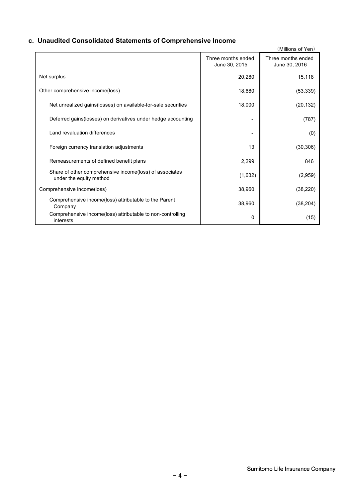# **c. Unaudited Consolidated Statements of Comprehensive Income**

|                                                                                    |                                     | (Millions of Yen)                   |
|------------------------------------------------------------------------------------|-------------------------------------|-------------------------------------|
|                                                                                    | Three months ended<br>June 30, 2015 | Three months ended<br>June 30, 2016 |
| Net surplus                                                                        | 20,280                              | 15,118                              |
| Other comprehensive income(loss)                                                   | 18,680                              | (53, 339)                           |
| Net unrealized gains(losses) on available-for-sale securities                      | 18,000                              | (20, 132)                           |
| Deferred gains(losses) on derivatives under hedge accounting                       |                                     | (787)                               |
| Land revaluation differences                                                       |                                     | (0)                                 |
| Foreign currency translation adjustments                                           | 13                                  | (30, 306)                           |
| Remeasurements of defined benefit plans                                            | 2,299                               | 846                                 |
| Share of other comprehensive income(loss) of associates<br>under the equity method | (1,632)                             | (2,959)                             |
| Comprehensive income(loss)                                                         | 38,960                              | (38, 220)                           |
| Comprehensive income(loss) attributable to the Parent<br>Company                   | 38,960                              | (38, 204)                           |
| Comprehensive income(loss) attributable to non-controlling<br>interests            | 0                                   | (15)                                |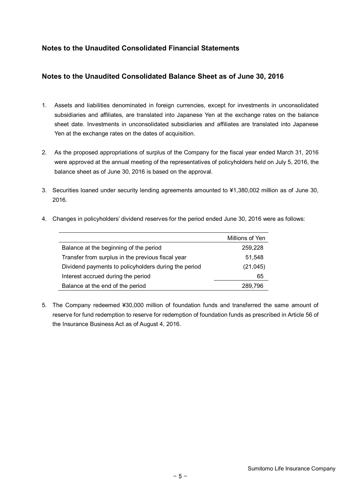# **Notes to the Unaudited Consolidated Financial Statements**

# **Notes to the Unaudited Consolidated Balance Sheet as of June 30, 2016**

- 1. Assets and liabilities denominated in foreign currencies, except for investments in unconsolidated subsidiaries and affiliates, are translated into Japanese Yen at the exchange rates on the balance sheet date. Investments in unconsolidated subsidiaries and affiliates are translated into Japanese Yen at the exchange rates on the dates of acquisition.
- 2. As the proposed appropriations of surplus of the Company for the fiscal year ended March 31, 2016 were approved at the annual meeting of the representatives of policyholders held on July 5, 2016, the balance sheet as of June 30, 2016 is based on the approval.
- 3. Securities loaned under security lending agreements amounted to ¥1,380,002 million as of June 30, 2016.

|                                                      | Millions of Yen |
|------------------------------------------------------|-----------------|
| Balance at the beginning of the period               | 259,228         |
| Transfer from surplus in the previous fiscal year    | 51,548          |
| Dividend payments to policyholders during the period | (21, 045)       |
| Interest accrued during the period                   | 65              |
| Balance at the end of the period                     | 289,796         |

4. Changes in policyholders' dividend reserves for the period ended June 30, 2016 were as follows:

5. The Company redeemed ¥30,000 million of foundation funds and transferred the same amount of reserve for fund redemption to reserve for redemption of foundation funds as prescribed in Article 56 of the Insurance Business Act as of August 4, 2016.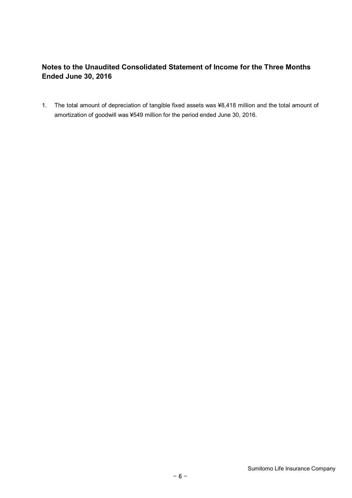# **Notes to the Unaudited Consolidated Statement of Income for the Three Months Ended June 30, 2016**

1. The total amount of depreciation of tangible fixed assets was ¥8,418 million and the total amount of amortization of goodwill was ¥549 million for the period ended June 30, 2016.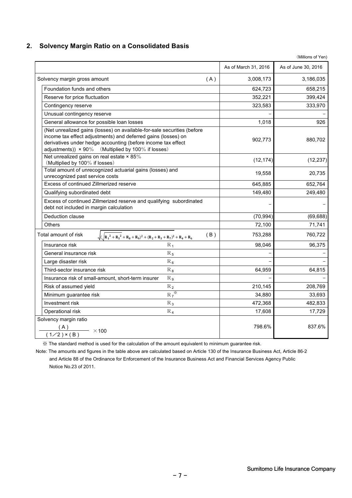## **2. Solvency Margin Ratio on a Consolidated Basis**

|                                                                                                                                                                                                                                                                       |                      | (Millions of Yen)   |
|-----------------------------------------------------------------------------------------------------------------------------------------------------------------------------------------------------------------------------------------------------------------------|----------------------|---------------------|
|                                                                                                                                                                                                                                                                       | As of March 31, 2016 | As of June 30, 2016 |
| Solvency margin gross amount<br>(A)                                                                                                                                                                                                                                   | 3,008,173            | 3,186,035           |
| Foundation funds and others                                                                                                                                                                                                                                           | 624,723              | 658,215             |
| Reserve for price fluctuation                                                                                                                                                                                                                                         | 352,221              | 399,424             |
| Contingency reserve                                                                                                                                                                                                                                                   | 323,583              | 333,970             |
| Unusual contingency reserve                                                                                                                                                                                                                                           |                      |                     |
| General allowance for possible loan losses                                                                                                                                                                                                                            | 1,018                | 926                 |
| (Net unrealized gains (losses) on available-for-sale securities (before<br>income tax effect adjustments) and deferred gains (losses) on<br>derivatives under hedge accounting (before income tax effect<br>adjustments)) $\times$ 90% (Multiplied by 100% if losses) | 902,773              | 880,702             |
| Net unrealized gains on real estate × 85%<br>(Multiplied by 100% if losses)                                                                                                                                                                                           | (12, 174)            | (12, 237)           |
| Total amount of unrecognized actuarial gains (losses) and<br>unrecognized past service costs                                                                                                                                                                          | 19,558               | 20,735              |
| Excess of continued Zillmerized reserve                                                                                                                                                                                                                               | 645,885              | 652,764             |
| Qualifying subordinated debt                                                                                                                                                                                                                                          | 149,480              | 249,480             |
| Excess of continued Zillmerized reserve and qualifying subordinated<br>debt not included in margin calculation                                                                                                                                                        |                      |                     |
| Deduction clause                                                                                                                                                                                                                                                      | (70, 994)            | (69, 688)           |
| <b>Others</b>                                                                                                                                                                                                                                                         | 72,100               | 71,741              |
| Total amount of risk<br>(B)<br>$\sqrt{(\sqrt{R_1^2 + R_5^2 + R_8 + R_9)^2 + (R_2 + R_3 + R_7)^2 + R_4 + R_6}}$                                                                                                                                                        | 753,288              | 760,722             |
| $R_1$<br>Insurance risk                                                                                                                                                                                                                                               | 98,046               | 96,375              |
| General insurance risk<br>$\rm R_{\,5}$                                                                                                                                                                                                                               |                      |                     |
| $R_6$<br>Large disaster risk                                                                                                                                                                                                                                          |                      |                     |
| Third-sector insurance risk<br>$R_8$                                                                                                                                                                                                                                  | 64,959               | 64,815              |
| Insurance risk of small-amount, short-term insurer<br>$R_{9}$                                                                                                                                                                                                         |                      |                     |
| Risk of assumed yield<br>$R_2$                                                                                                                                                                                                                                        | 210,145              | 208,769             |
| $R_7$ <sup>*</sup><br>Minimum guarantee risk                                                                                                                                                                                                                          | 34,880               | 33,693              |
| Investment risk<br>$R_3$                                                                                                                                                                                                                                              | 472,368              | 482,833             |
| Operational risk<br>$R_4$                                                                                                                                                                                                                                             | 17,608               | 17,729              |
| Solvency margin ratio<br>$\frac{(A)}{(1/2) \times (B)}$ × 100                                                                                                                                                                                                         | 798.6%               | 837.6%              |

※ The standard method is used for the calculation of the amount equivalent to minimum guarantee risk.

Note: The amounts and figures in the table above are calculated based on Article 130 of the Insurance Business Act, Article 86-2 and Article 88 of the Ordinance for Enforcement of the Insurance Business Act and Financial Services Agency Public Notice No.23 of 2011.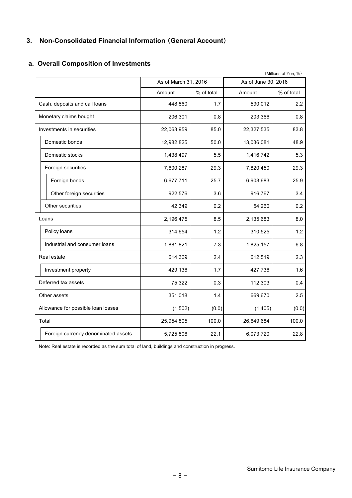#### **3. Non-Consolidated Financial Information** (**General Account**)

#### (Millions of Yen, %) Amount | % of total | Amount | % of total 448,860 1.7 590,012 2.2 206,301 0.8 203,366 0.8 22,063,959 85.0 22,327,535 83.8 12,982,825 50.0 13,036,081 48.9 1,438,497 5.5 1,416,742 5.3 7,600,287 29.3 7,820,450 29.3 Foreign bonds **6,677,711** 25.7 6,903,683 25.9 Other foreign securities 1.4 922,576 3.6 916,767 3.4 42,349 0.2 54,260 0.2 2,196,475 8.5 2,135,683 8.0 314,654 1.2 310,525 1.2 1,881,821 | 7.3 | 1,825,157 | 6.8 614,369 2.4 612,519 2.3 429,136 1.7 427,736 1.6 75,322 0.3 112,303 0.4 351,018 1.4 669,670 2.5  $(1,502)$   $(0.0)$   $(1,405)$   $(0.0)$ 25,954,805 100.0 26,649,684 100.0 5,725,806 22.1 6,073,720 22.8 Industrial and consumer loans Real estate Domestic bonds Domestic stocks Foreign securities Investments in securities Other securities Foreign currency denominated assets Deferred tax assets Investment property Other assets Loans Policy loans Total Allowance for possible loan losses As of March 31, 2016 **As of June 30, 2016** Monetary claims bought Cash, deposits and call loans

#### **a. Overall Composition of Investments**

Note: Real estate is recorded as the sum total of land, buildings and construction in progress.